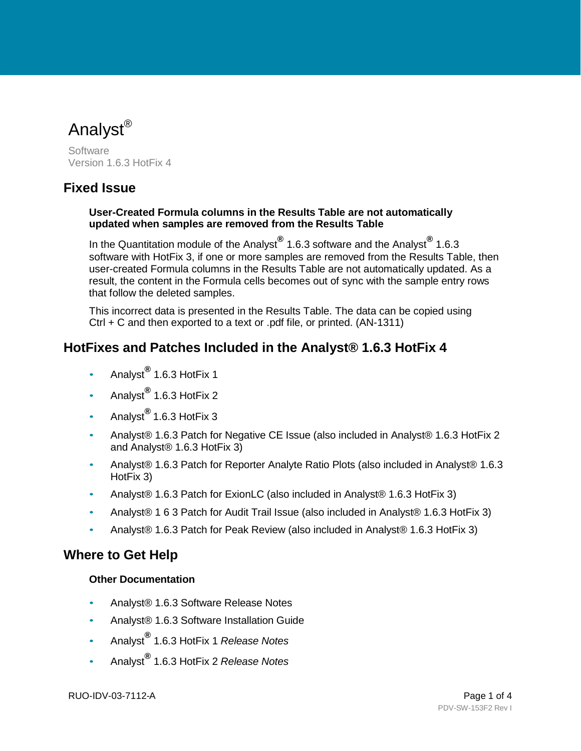Analyst<sup>®</sup>

**Software** Version 1.6.3 HotFix 4

### **Fixed Issue**

#### **User-Created Formula columns in the Results Table are not automatically updated when samples are removed from the Results Table**

In the Quantitation module of the Analyst**®** 1.6.3 software and the Analyst**®** 1.6.3 software with HotFix 3, if one or more samples are removed from the Results Table, then user-created Formula columns in the Results Table are not automatically updated. As a result, the content in the Formula cells becomes out of sync with the sample entry rows that follow the deleted samples.

This incorrect data is presented in the Results Table. The data can be copied using Ctrl + C and then exported to a text or .pdf file, or printed. (AN-1311)

# <span id="page-0-0"></span>**HotFixes and Patches Included in the Analyst® 1.6.3 HotFix 4**

- Analyst**®** 1.6.3 HotFix 1
- Analyst**®** 1.6.3 HotFix 2
- Analyst**®** 1.6.3 HotFix 3
- Analyst® 1.6.3 Patch for Negative CE Issue (also included in Analyst® 1.6.3 HotFix 2 and Analyst® 1.6.3 HotFix 3)
- Analyst® 1.6.3 Patch for Reporter Analyte Ratio Plots (also included in Analyst® 1.6.3 HotFix 3)
- Analyst® 1.6.3 Patch for ExionLC (also included in Analyst® 1.6.3 HotFix 3)
- Analyst® 1 6 3 Patch for Audit Trail Issue (also included in Analyst® 1.6.3 HotFix 3)
- Analyst® 1.6.3 Patch for Peak Review (also included in Analyst® 1.6.3 HotFix 3)

### **Where to Get Help**

#### **Other Documentation**

- Analyst® 1.6.3 Software Release Notes
- Analyst® 1.6.3 Software Installation Guide
- Analyst**®** 1.6.3 HotFix 1 *Release Notes*
- Analyst**®** 1.6.3 HotFix 2 *Release Notes*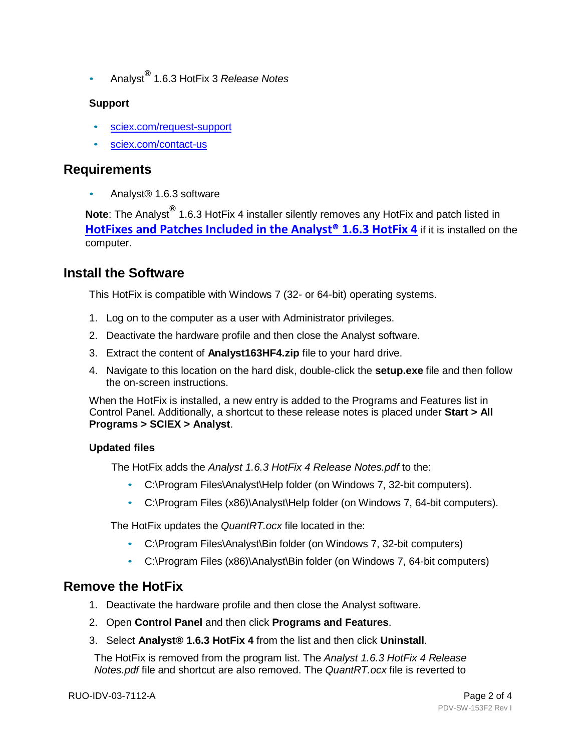• Analyst**®** 1.6.3 HotFix 3 *Release Notes*

#### **Support**

- sciex.com/request-support
- sciex.com/contact-us

### **Requirements**

• Analyst® 1.6.3 software

**Note**: The Analyst**®** 1.6.3 HotFix 4 installer silently removes any HotFix and patch listed in **HotFixes and Patches Included in the Analyst<sup>®</sup> 1.6.3 HotFix 4** if it is installed on the computer.

# **Install the Software**

This HotFix is compatible with Windows 7 (32- or 64-bit) operating systems.

- 1. Log on to the computer as a user with Administrator privileges.
- 2. Deactivate the hardware profile and then close the Analyst software.
- 3. Extract the content of **Analyst163HF4.zip** file to your hard drive.
- 4. Navigate to this location on the hard disk, double-click the **setup.exe** file and then follow the on-screen instructions.

When the HotFix is installed, a new entry is added to the Programs and Features list in Control Panel. Additionally, a shortcut to these release notes is placed under **Start > All Programs > SCIEX > Analyst**.

#### **Updated files**

The HotFix adds the *Analyst 1.6.3 HotFix 4 Release Notes.pdf* to the:

- C:\Program Files\Analyst\Help folder (on Windows 7, 32-bit computers).
- C:\Program Files (x86)\Analyst\Help folder (on Windows 7, 64-bit computers).

The HotFix updates the *QuantRT.ocx* file located in the:

- C:\Program Files\Analyst\Bin folder (on Windows 7, 32-bit computers)
- C:\Program Files (x86)\Analyst\Bin folder (on Windows 7, 64-bit computers)

### **Remove the HotFix**

- 1. Deactivate the hardware profile and then close the Analyst software.
- 2. Open **Control Panel** and then click **Programs and Features**.
- 3. Select **Analyst® 1.6.3 HotFix 4** from the list and then click **Uninstall**.

The HotFix is removed from the program list. The *Analyst 1.6.3 HotFix 4 Release Notes.pdf* file and shortcut are also removed. The *QuantRT.ocx* file is reverted to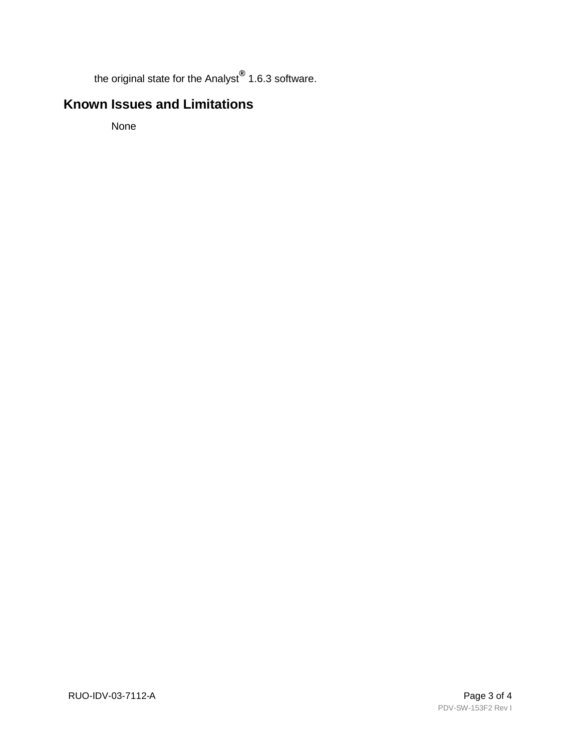the original state for the Analyst**®** 1.6.3 software.

# **Known Issues and Limitations**

None